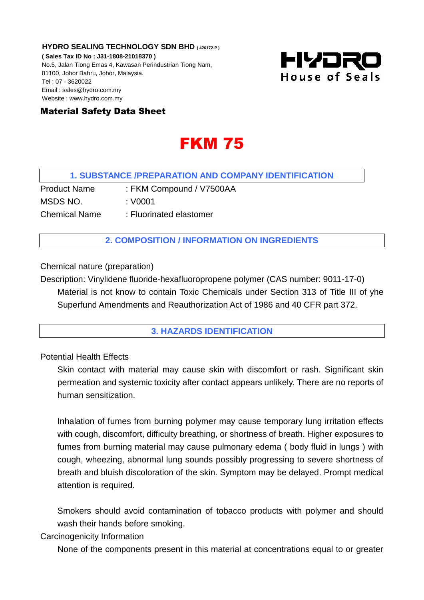**HYDRO SEALING TECHNOLOGY SDN BHD ( 426172-P ) ( Sales Tax ID No : J31-1808-21018370 )** No.5, Jalan Tiong Emas 4, Kawasan Perindustrian Tiong Nam, 81100, Johor Bahru, Johor, Malaysia. Tel : 07 - 3620022 Email : sales@hydro.com.my Website : www.hydro.com.my



# Material Safety Data Sheet

# FKM 75

## **1. SUBSTANCE /PREPARATION AND COMPANY IDENTIFICATION**

Product Name : FKM Compound / V7500AA MSDS NO. : V0001 Chemical Name : Fluorinated elastomer

# **2. COMPOSITION / INFORMATION ON INGREDIENTS**

Chemical nature (preparation)

Description: Vinylidene fluoride-hexafluoropropene polymer (CAS number: 9011-17-0) Material is not know to contain Toxic Chemicals under Section 313 of Title III of yhe Superfund Amendments and Reauthorization Act of 1986 and 40 CFR part 372.

#### **3. HAZARDS IDENTIFICATION**

Potential Health Effects

Skin contact with material may cause skin with discomfort or rash. Significant skin permeation and systemic toxicity after contact appears unlikely. There are no reports of human sensitization.

Inhalation of fumes from burning polymer may cause temporary lung irritation effects with cough, discomfort, difficulty breathing, or shortness of breath. Higher exposures to fumes from burning material may cause pulmonary edema ( body fluid in lungs ) with cough, wheezing, abnormal lung sounds possibly progressing to severe shortness of breath and bluish discoloration of the skin. Symptom may be delayed. Prompt medical attention is required.

Smokers should avoid contamination of tobacco products with polymer and should wash their hands before smoking.

Carcinogenicity Information

None of the components present in this material at concentrations equal to or greater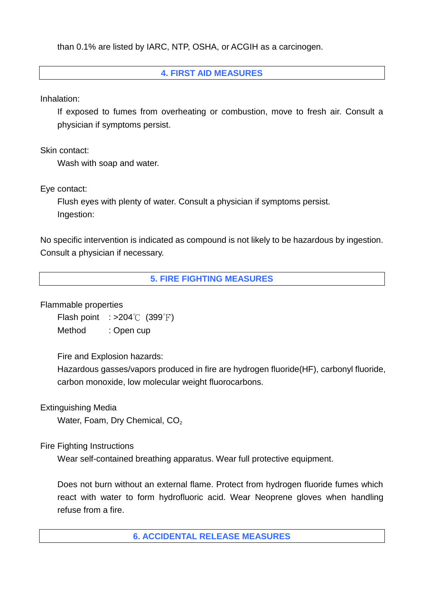than 0.1% are listed by IARC, NTP, OSHA, or ACGIH as a carcinogen.

# **4. FIRST AID MEASURES**

Inhalation:

If exposed to fumes from overheating or combustion, move to fresh air. Consult a physician if symptoms persist.

Skin contact:

Wash with soap and water.

Eye contact:

Flush eyes with plenty of water. Consult a physician if symptoms persist. Ingestion:

No specific intervention is indicated as compound is not likely to be hazardous by ingestion. Consult a physician if necessary.

**5. FIRE FIGHTING MEASURES**

Flammable properties

Flash point  $: >204$ °C (399°F)

Method : Open cup

Fire and Explosion hazards:

Hazardous gasses/vapors produced in fire are hydrogen fluoride(HF), carbonyl fluoride, carbon monoxide, low molecular weight fluorocarbons.

Extinguishing Media

Water, Foam, Dry Chemical, CO<sub>2</sub>

Fire Fighting Instructions

Wear self-contained breathing apparatus. Wear full protective equipment.

Does not burn without an external flame. Protect from hydrogen fluoride fumes which react with water to form hydrofluoric acid. Wear Neoprene gloves when handling refuse from a fire.

**6. ACCIDENTAL RELEASE MEASURES**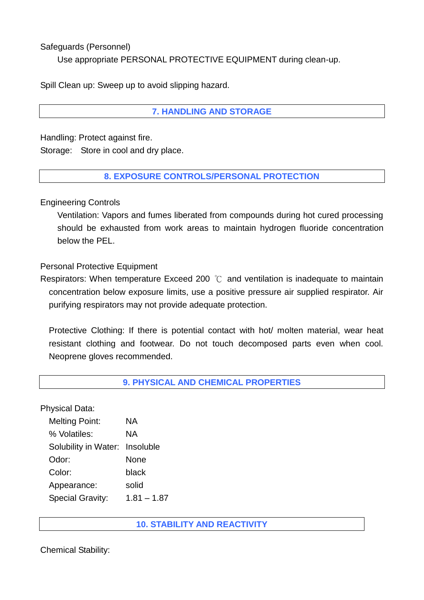Safeguards (Personnel)

Use appropriate PERSONAL PROTECTIVE EQUIPMENT during clean-up.

Spill Clean up: Sweep up to avoid slipping hazard.

# **7. HANDLING AND STORAGE**

Handling: Protect against fire. Storage: Store in cool and dry place.

## **8. EXPOSURE CONTROLS/PERSONAL PROTECTION**

Engineering Controls

Ventilation: Vapors and fumes liberated from compounds during hot cured processing should be exhausted from work areas to maintain hydrogen fluoride concentration below the PEL.

Personal Protective Equipment

Respirators: When temperature Exceed 200 ℃ and ventilation is inadequate to maintain concentration below exposure limits, use a positive pressure air supplied respirator. Air purifying respirators may not provide adequate protection.

Protective Clothing: If there is potential contact with hot/ molten material, wear heat resistant clothing and footwear. Do not touch decomposed parts even when cool. Neoprene gloves recommended.

## **9. PHYSICAL AND CHEMICAL PROPERTIES**

Physical Data:

| <b>Melting Point:</b>          | ΝA            |
|--------------------------------|---------------|
| % Volatiles:                   | ΝA            |
| Solubility in Water: Insoluble |               |
| Odor:                          | None          |
| Color:                         | black         |
| Appearance:                    | solid         |
| <b>Special Gravity:</b>        | $1.81 - 1.87$ |

**10. STABILITY AND REACTIVITY** 

Chemical Stability: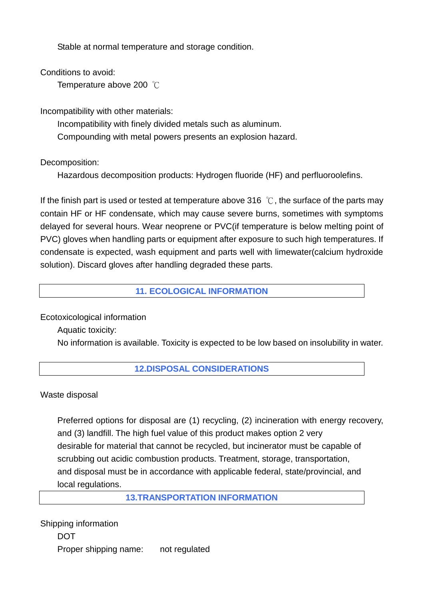Stable at normal temperature and storage condition.

Conditions to avoid:

Temperature above 200 ℃

Incompatibility with other materials:

Incompatibility with finely divided metals such as aluminum.

Compounding with metal powers presents an explosion hazard.

Decomposition:

Hazardous decomposition products: Hydrogen fluoride (HF) and perfluoroolefins.

If the finish part is used or tested at temperature above 316  $\degree$ C, the surface of the parts may contain HF or HF condensate, which may cause severe burns, sometimes with symptoms delayed for several hours. Wear neoprene or PVC(if temperature is below melting point of PVC) gloves when handling parts or equipment after exposure to such high temperatures. If condensate is expected, wash equipment and parts well with limewater(calcium hydroxide solution). Discard gloves after handling degraded these parts.

# **11. ECOLOGICAL INFORMATION**

Ecotoxicological information

Aquatic toxicity:

No information is available. Toxicity is expected to be low based on insolubility in water.

# **12.DISPOSAL CONSIDERATIONS**

Waste disposal

 Preferred options for disposal are (1) recycling, (2) incineration with energy recovery, and (3) landfill. The high fuel value of this product makes option 2 very desirable for material that cannot be recycled, but incinerator must be capable of scrubbing out acidic combustion products. Treatment, storage, transportation, and disposal must be in accordance with applicable federal, state/provincial, and local regulations.

**13.TRANSPORTATION INFORMATION** 

Shipping information **DOT** Proper shipping name: not regulated